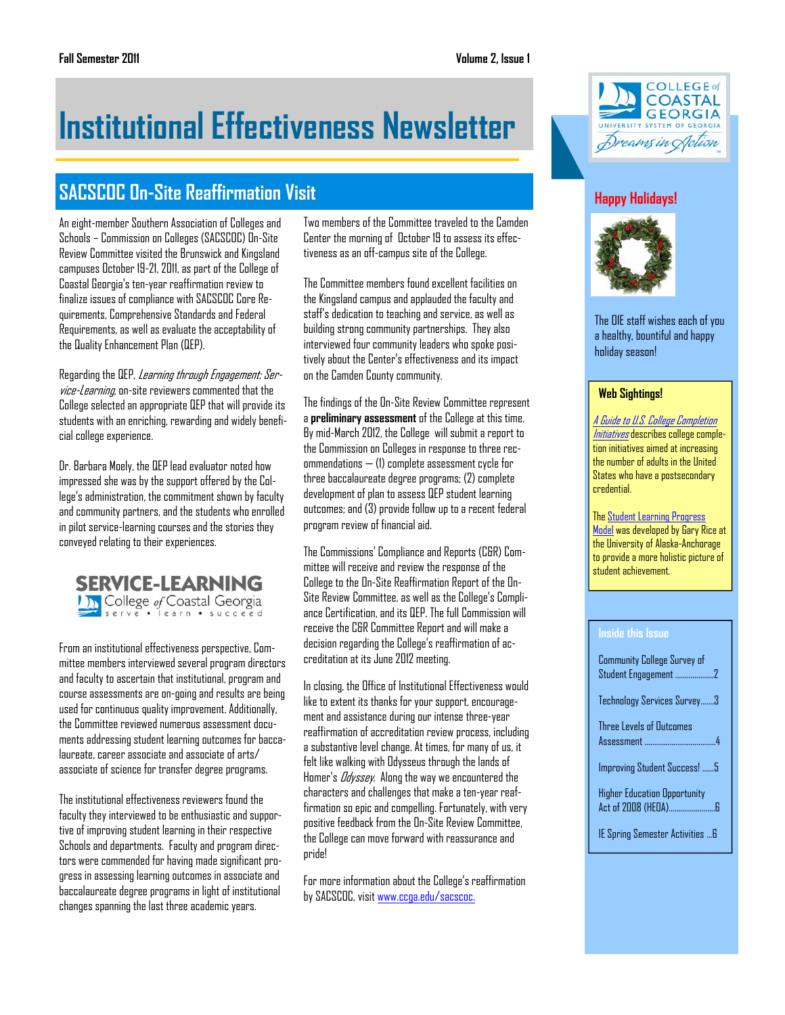# **Institutional Effectiveness Newsletter**

# **SACSCOC On-Site Reaffirmation Visit**

An eight-member Southern Association of Colleges and Schools – Commission on Colleges (SACSCOC) On-Site Review Committee visited the Brunswick and Kingsland campuses October 19-21, 2011, as part of the College of Coastal Georgia's ten-year reaffirmation review to finalize issues of compliance with SACSCOC Core Requirements, Comprehensive Standards and Federal Requirements, as well as evaluate the acceptability of the Quality Enhancement Plan (QEP).

Regarding the QEP, Learning through Engagement: Service-Learning, on-site reviewers commented that the College selected an appropriate QEP that will provide its students with an enriching, rewarding and widely beneficial college experience.

Dr. Barbara Moely, the QEP lead evaluator noted how impressed she was by the support offered by the College's administration, the commitment shown by faculty and community partners, and the students who enrolled in pilot service-learning courses and the stories they conveyed relating to their experiences.



From an institutional effectiveness perspective, Committee members interviewed several program directors and faculty to ascertain that institutional, program and course assessments are on-going and results are being used for continuous quality improvement. Additionally, the Committee reviewed numerous assessment documents addressing student learning outcomes for baccalaureate, career associate and associate of arts/ associate of science for transfer degree programs.

The institutional effectiveness reviewers found the faculty they interviewed to be enthusiastic and supportive of improving student learning in their respective Schools and departments. Faculty and program directors were commended for having made significant progress in assessing learning outcomes in associate and baccalaureate degree programs in light of institutional changes spanning the last three academic years.

Two members of the Committee traveled to the Camden Center the morning of October 19 to assess its effectiveness as an off-campus site of the College.

The Committee members found excellent facilities on the Kingsland campus and applauded the faculty and staff's dedication to teaching and service, as well as building strong community partnerships. They also interviewed four community leaders who spoke positively about the Center's effectiveness and its impact on the Camden County community.

The findings of the On-Site Review Committee represent a **preliminary assessment** of the College at this time. By mid-March 2012, the College will submit a report to the Commission on Colleges in response to three recommendations — (1) complete assessment cycle for three baccalaureate degree programs; (2) complete development of plan to assess QEP student learning outcomes; and (3) provide follow up to a recent federal program review of financial aid.

The Commissions' Compliance and Reports (C&R) Committee will receive and review the response of the College to the On-Site Reaffirmation Report of the On-Site Review Committee, as well as the College's Compliance Certification, and its QEP. The full Commission will receive the C&R Committee Report and will make a decision regarding the College's reaffirmation of accreditation at its June 2012 meeting.

In closing, the Office of Institutional Effectiveness would like to extent its thanks for your support, encouragement and assistance during our intense three-year reaffirmation of accreditation review process, including a substantive level change. At times, for many of us, it felt like walking with Odysseus through the lands of Homer's Odyssey. Along the way we encountered the characters and challenges that make a ten-year reaffirmation so epic and compelling. Fortunately, with very positive feedback from the On-Site Review Committee, the College can move forward with reassurance and pride!

For more information about the College's reaffirmation by SACSCOC, visit www.ccga.edu/sacscoc.



# **Happy Holidays!**



The OIE staff wishes each of you a healthy, bountiful and happy holiday season!

#### **Web Sightings!**

[A Guide to U.S. College Completion](http://www.aascu.org/uploadedFiles/AASCU/Content/Root/PolicyAndAdvocacy/PolicyPublications/Policy_Matters/College%20Completion%20October%202011.pdf)  Initiatives describes college completion initiatives aimed at increasing the number of adults in the United States who have a postsecondary credential.

[The Student Learning Progress](http://www.uaa.alaska.edu/ir/reports/success/index.cfm) Model was developed by Gary Rice at the University of Alaska-Anchorage to provide a more holistic picture of student achievement.

#### **Inside this Issue**

| <b>Community College Survey of</b>  |  |
|-------------------------------------|--|
| Technology Services Survey3         |  |
| Three Levels of Outcomes            |  |
| Improving Student Success!  5       |  |
| <b>Higher Education Opportunity</b> |  |
| IE Spring Semester Activities  6    |  |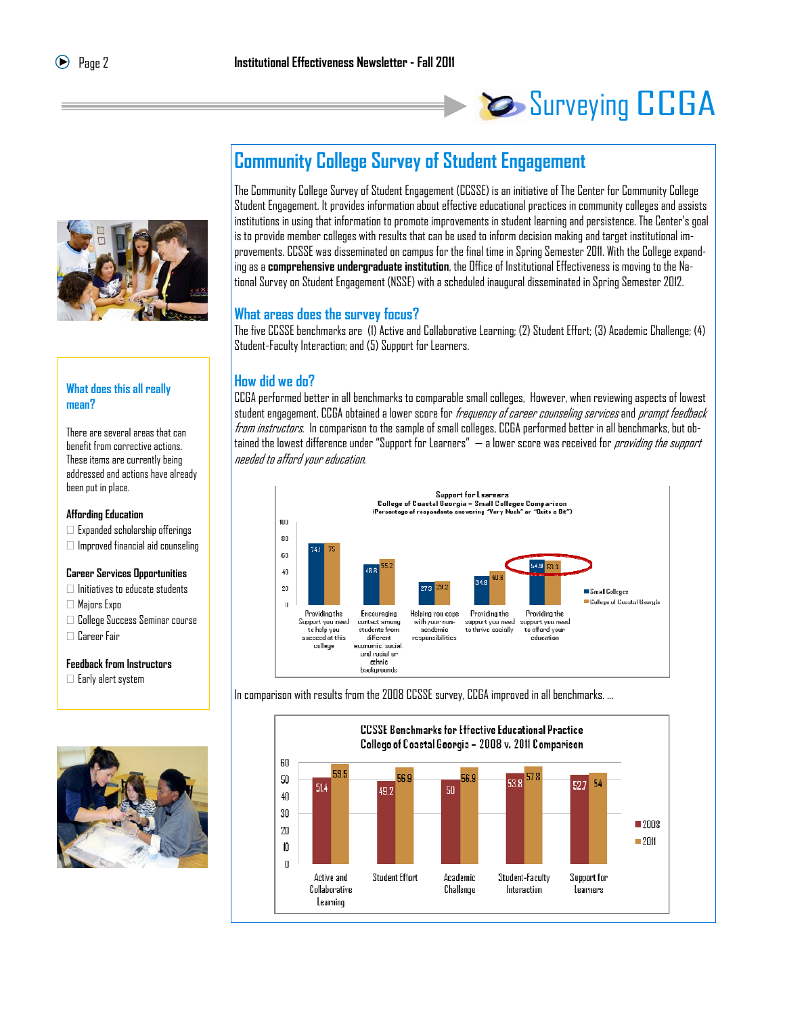# Surveying CCGA



#### **What does this all really mean?**

There are several areas that can benefit from corrective actions. These items are currently being addressed and actions have already been put in place.

#### **Affording Education**

- $\Box$  Expanded scholarship offerings
- $\Box$  Improved financial aid counseling

#### **Career Services Opportunities**

- $\Box$  Initiatives to educate students
- Majors Expo
- College Success Seminar course
- Career Fair

#### **Feedback from Instructors**

 $\Box$  Early alert system



# **Community College Survey of Student Engagement**

The Community College Survey of Student Engagement (CCSSE) is an initiative of The Center for Community College Student Engagement. It provides information about effective educational practices in community colleges and assists institutions in using that information to promote improvements in student learning and persistence. The Center's goal is to provide member colleges with results that can be used to inform decision making and target institutional improvements. CCSSE was disseminated on campus for the final time in Spring Semester 2011. With the College expanding as a **comprehensive undergraduate institution**, the Office of Institutional Effectiveness is moving to the National Survey on Student Engagement (NSSE) with a scheduled inaugural disseminated in Spring Semester 2012.

## **What areas does the survey focus?**

The five CCSSE benchmarks are (1) Active and Collaborative Learning; (2) Student Effort; (3) Academic Challenge; (4) Student-Faculty Interaction; and (5) Support for Learners.

## **How did we do?**

CCGA performed better in all benchmarks to comparable small colleges, However, when reviewing aspects of lowest student engagement, CCGA obtained a lower score for *frequency of career counseling services* and *prompt feedback* from instructors. In comparison to the sample of small colleges, CCGA performed better in all benchmarks, but obtained the lowest difference under "Support for Learners" — a lower score was received for *providing the support* needed to afford your education.



In comparison with results from the 2008 CCSSE survey, CCGA improved in all benchmarks. ...

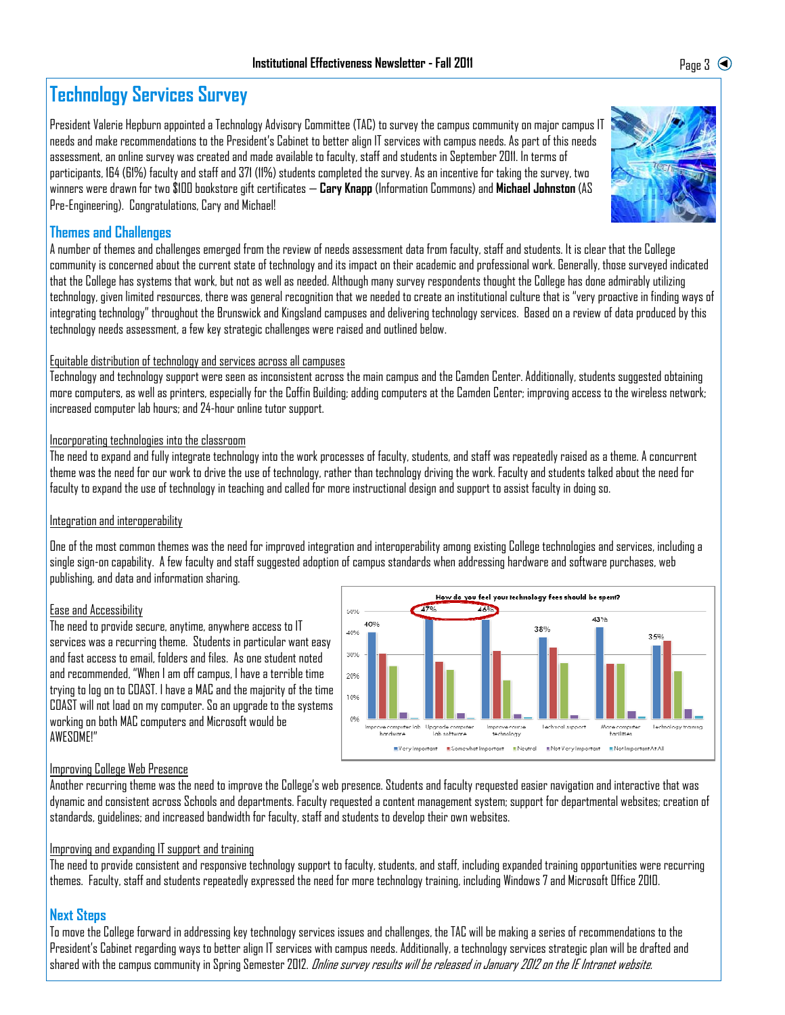# **Technology Services Survey**

President Valerie Hepburn appointed a Technology Advisory Committee (TAC) to survey the campus community on major campus IT needs and make recommendations to the President's Cabinet to better align IT services with campus needs. As part of this needs assessment, an online survey was created and made available to faculty, staff and students in September 2011. In terms of participants, 164 (61%) faculty and staff and 371 (11%) students completed the survey. As an incentive for taking the survey, two winners were drawn for two \$100 bookstore gift certificates — **Cary Knapp** (Information Commons) and **Michael Johnston** (AS Pre-Engineering). Congratulations, Cary and Michael!

## **Themes and Challenges**

A number of themes and challenges emerged from the review of needs assessment data from faculty, staff and students. It is clear that the College community is concerned about the current state of technology and its impact on their academic and professional work. Generally, those surveyed indicated that the College has systems that work, but not as well as needed. Although many survey respondents thought the College has done admirably utilizing technology, given limited resources, there was general recognition that we needed to create an institutional culture that is "very proactive in finding ways of integrating technology" throughout the Brunswick and Kingsland campuses and delivering technology services. Based on a review of data produced by this technology needs assessment, a few key strategic challenges were raised and outlined below.

## Equitable distribution of technology and services across all campuses

Technology and technology support were seen as inconsistent across the main campus and the Camden Center. Additionally, students suggested obtaining more computers, as well as printers, especially for the Coffin Building; adding computers at the Camden Center; improving access to the wireless network; increased computer lab hours; and 24-hour online tutor support.

#### Incorporating technologies into the classroom

The need to expand and fully integrate technology into the work processes of faculty, students, and staff was repeatedly raised as a theme. A concurrent theme was the need for our work to drive the use of technology, rather than technology driving the work. Faculty and students talked about the need for faculty to expand the use of technology in teaching and called for more instructional design and support to assist faculty in doing so.

## Integration and interoperability

One of the most common themes was the need for improved integration and interoperability among existing College technologies and services, including a single sign-on capability. A few faculty and staff suggested adoption of campus standards when addressing hardware and software purchases, web publishing, and data and information sharing.

## Ease and Accessibility

The need to provide secure, anytime, anywhere access to IT services was a recurring theme. Students in particular want easy and fast access to email, folders and files. As one student noted and recommended, "When I am off campus, I have a terrible time trying to log on to COAST. I have a MAC and the majority of the time COAST will not load on my computer. So an upgrade to the systems working on both MAC computers and Microsoft would be AWESOME!"



## Improving College Web Presence

Another recurring theme was the need to improve the College's web presence. Students and faculty requested easier navigation and interactive that was dynamic and consistent across Schools and departments. Faculty requested a content management system; support for departmental websites; creation of standards, guidelines; and increased bandwidth for faculty, staff and students to develop their own websites.

## Improving and expanding IT support and training

The need to provide consistent and responsive technology support to faculty, students, and staff, including expanded training opportunities were recurring themes. Faculty, staff and students repeatedly expressed the need for more technology training, including Windows 7 and Microsoft Office 2010.

## **Next Steps**

To move the College forward in addressing key technology services issues and challenges, the TAC will be making a series of recommendations to the President's Cabinet regarding ways to better align IT services with campus needs. Additionally, a technology services strategic plan will be drafted and shared with the campus community in Spring Semester 2012. *Online survey results will be released in January 2012 on the IE Intranet website.* 

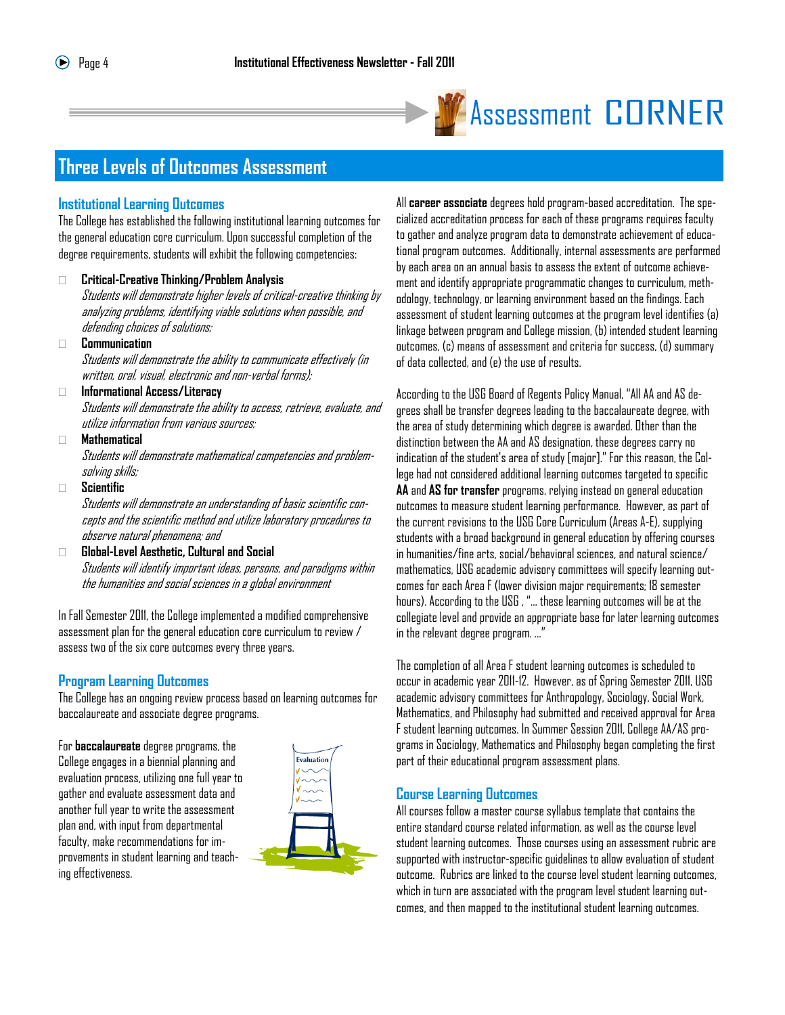

# **Assessment CORNER**

# **Three Levels of Outcomes Assessment**

#### **Institutional Learning Outcomes**

The College has established the following institutional learning outcomes for the general education core curriculum. Upon successful completion of the degree requirements, students will exhibit the following competencies:

#### **Critical-Creative Thinking/Problem Analysis**

Students will demonstrate higher levels of critical-creative thinking by analyzing problems, identifying viable solutions when possible, and defending choices of solutions;

**Communication**

Students will demonstrate the ability to communicate effectively (in written, oral, visual, electronic and non-verbal forms);

#### **Informational Access/Literacy**

Students will demonstrate the ability to access, retrieve, evaluate, and utilize information from various sources;

#### **Mathematical**

Students will demonstrate mathematical competencies and problemsolving skills;

**Scientific**

Students will demonstrate an understanding of basic scientific concepts and the scientific method and utilize laboratory procedures to observe natural phenomena; and

#### **Global-Level Aesthetic, Cultural and Social** Students will identify important ideas, persons, and paradigms within the humanities and social sciences in a global environment

In Fall Semester 2011, the College implemented a modified comprehensive assessment plan for the general education core curriculum to review / assess two of the six core outcomes every three years.

## **Program Learning Outcomes**

The College has an ongoing review process based on learning outcomes for baccalaureate and associate degree programs.

For **baccalaureate** degree programs, the College engages in a biennial planning and evaluation process, utilizing one full year to gather and evaluate assessment data and another full year to write the assessment plan and, with input from departmental faculty, make recommendations for improvements in student learning and teaching effectiveness.



All **career associate** degrees hold program-based accreditation. The specialized accreditation process for each of these programs requires faculty to gather and analyze program data to demonstrate achievement of educational program outcomes. Additionally, internal assessments are performed by each area on an annual basis to assess the extent of outcome achievement and identify appropriate programmatic changes to curriculum, methodology, technology, or learning environment based on the findings. Each assessment of student learning outcomes at the program level identifies (a) linkage between program and College mission, (b) intended student learning outcomes, (c) means of assessment and criteria for success, (d) summary of data collected, and (e) the use of results.

According to the USG Board of Regents Policy Manual, "All AA and AS degrees shall be transfer degrees leading to the baccalaureate degree, with the area of study determining which degree is awarded. Other than the distinction between the AA and AS designation, these degrees carry no indication of the student's area of study [major]." For this reason, the College had not considered additional learning outcomes targeted to specific **AA** and **AS for transfer** programs, relying instead on general education outcomes to measure student learning performance. However, as part of the current revisions to the USG Core Curriculum (Areas A-E), supplying students with a broad background in general education by offering courses in humanities/fine arts, social/behavioral sciences, and natural science/ mathematics, USG academic advisory committees will specify learning outcomes for each Area F (lower division major requirements; 18 semester hours). According to the USG , "… these learning outcomes will be at the collegiate level and provide an appropriate base for later learning outcomes in the relevant degree program. …"

The completion of all Area F student learning outcomes is scheduled to occur in academic year 2011-12. However, as of Spring Semester 2011, USG academic advisory committees for Anthropology, Sociology, Social Work, Mathematics, and Philosophy had submitted and received approval for Area F student learning outcomes. In Summer Session 2011, College AA/AS programs in Sociology, Mathematics and Philosophy began completing the first part of their educational program assessment plans.

## **Course Learning Outcomes**

All courses follow a master course syllabus template that contains the entire standard course related information, as well as the course level student learning outcomes. Those courses using an assessment rubric are supported with instructor-specific guidelines to allow evaluation of student outcome. Rubrics are linked to the course level student learning outcomes, which in turn are associated with the program level student learning outcomes, and then mapped to the institutional student learning outcomes.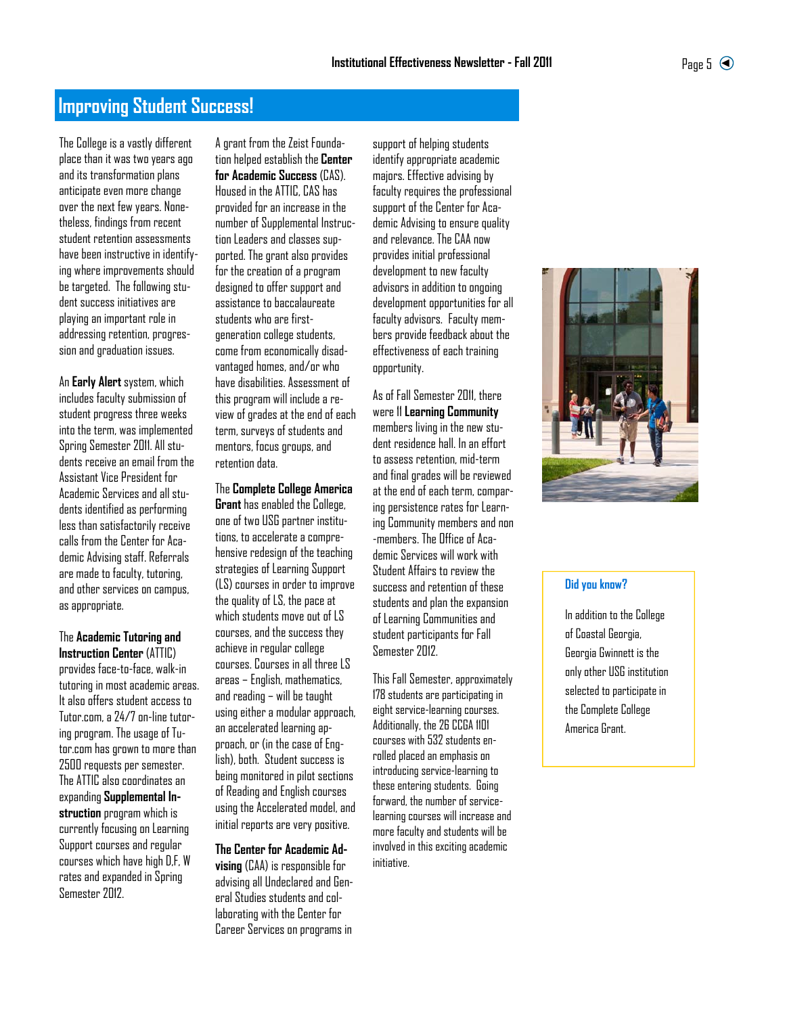# **Improving Student Success!**

The College is a vastly different place than it was two years ago and its transformation plans anticipate even more change over the next few years. Nonetheless, findings from recent student retention assessments have been instructive in identifying where improvements should be targeted. The following student success initiatives are playing an important role in addressing retention, progression and graduation issues.

An **Early Alert** system, which includes faculty submission of student progress three weeks into the term, was implemented Spring Semester 2011. All students receive an email from the Assistant Vice President for Academic Services and all students identified as performing less than satisfactorily receive calls from the Center for Academic Advising staff. Referrals are made to faculty, tutoring, and other services on campus, as appropriate.

The **Academic Tutoring and Instruction Center** (ATTIC) provides face-to-face, walk-in tutoring in most academic areas. It also offers student access to Tutor.com, a 24/7 on-line tutoring program. The usage of Tutor.com has grown to more than 2500 requests per semester. The ATTIC also coordinates an expanding **Supplemental Instruction** program which is currently focusing on Learning Support courses and regular courses which have high D,F, W rates and expanded in Spring Semester 2012.

A grant from the Zeist Foundation helped establish the **Center for Academic Success** (CAS). Housed in the ATTIC, CAS has provided for an increase in the number of Supplemental Instruction Leaders and classes supported. The grant also provides for the creation of a program designed to offer support and assistance to baccalaureate students who are firstgeneration college students, come from economically disadvantaged homes, and/or who have disabilities. Assessment of this program will include a review of grades at the end of each term, surveys of students and mentors, focus groups, and retention data.

#### The **Complete College America**

**Grant** has enabled the College, one of two USG partner institutions, to accelerate a comprehensive redesign of the teaching strategies of Learning Support (LS) courses in order to improve the quality of LS, the pace at which students move out of LS courses, and the success they achieve in regular college courses. Courses in all three LS areas – English, mathematics, and reading – will be taught using either a modular approach, an accelerated learning approach, or (in the case of English), both. Student success is being monitored in pilot sections of Reading and English courses using the Accelerated model, and initial reports are very positive.

#### **The Center for Academic Ad-**

**vising** (CAA) is responsible for advising all Undeclared and General Studies students and collaborating with the Center for Career Services on programs in

support of helping students identify appropriate academic majors. Effective advising by faculty requires the professional support of the Center for Academic Advising to ensure quality and relevance. The CAA now provides initial professional development to new faculty advisors in addition to ongoing development opportunities for all faculty advisors. Faculty members provide feedback about the effectiveness of each training opportunity.

As of Fall Semester 2011, there were 11 **Learning Community**  members living in the new student residence hall. In an effort to assess retention, mid-term and final grades will be reviewed at the end of each term, comparing persistence rates for Learning Community members and non -members. The Office of Academic Services will work with Student Affairs to review the success and retention of these students and plan the expansion of Learning Communities and student participants for Fall Semester 2012.

This Fall Semester, approximately 178 students are participating in eight service-learning courses. Additionally, the 26 CCGA 1101 courses with 532 students enrolled placed an emphasis on introducing service-learning to these entering students. Going forward, the number of servicelearning courses will increase and more faculty and students will be involved in this exciting academic initiative.



#### **Did you know?**

In addition to the College of Coastal Georgia, Georgia Gwinnett is the only other USG institution selected to participate in the Complete College America Grant.